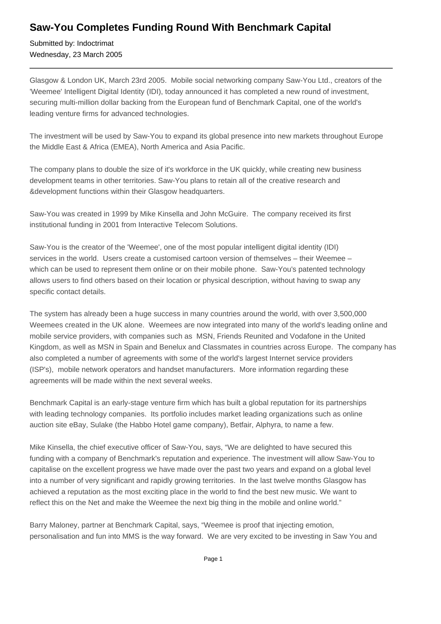## **Saw-You Completes Funding Round With Benchmark Capital**

Submitted by: Indoctrimat Wednesday, 23 March 2005

Glasgow & London UK, March 23rd 2005. Mobile social networking company Saw-You Ltd., creators of the 'Weemee' Intelligent Digital Identity (IDI), today announced it has completed a new round of investment, securing multi-million dollar backing from the European fund of Benchmark Capital, one of the world's leading venture firms for advanced technologies.

The investment will be used by Saw-You to expand its global presence into new markets throughout Europe the Middle East & Africa (EMEA), North America and Asia Pacific.

The company plans to double the size of it's workforce in the UK quickly, while creating new business development teams in other territories. Saw-You plans to retain all of the creative research and &development functions within their Glasgow headquarters.

Saw-You was created in 1999 by Mike Kinsella and John McGuire. The company received its first institutional funding in 2001 from Interactive Telecom Solutions.

Saw-You is the creator of the 'Weemee', one of the most popular intelligent digital identity (IDI) services in the world. Users create a customised cartoon version of themselves – their Weemee – which can be used to represent them online or on their mobile phone. Saw-You's patented technology allows users to find others based on their location or physical description, without having to swap any specific contact details.

The system has already been a huge success in many countries around the world, with over 3,500,000 Weemees created in the UK alone. Weemees are now integrated into many of the world's leading online and mobile service providers, with companies such as MSN, Friends Reunited and Vodafone in the United Kingdom, as well as MSN in Spain and Benelux and Classmates in countries across Europe. The company has also completed a number of agreements with some of the world's largest Internet service providers (ISP's), mobile network operators and handset manufacturers. More information regarding these agreements will be made within the next several weeks.

Benchmark Capital is an early-stage venture firm which has built a global reputation for its partnerships with leading technology companies. Its portfolio includes market leading organizations such as online auction site eBay, Sulake (the Habbo Hotel game company), Betfair, Alphyra, to name a few.

Mike Kinsella, the chief executive officer of Saw-You, says, "We are delighted to have secured this funding with a company of Benchmark's reputation and experience. The investment will allow Saw-You to capitalise on the excellent progress we have made over the past two years and expand on a global level into a number of very significant and rapidly growing territories. In the last twelve months Glasgow has achieved a reputation as the most exciting place in the world to find the best new music. We want to reflect this on the Net and make the Weemee the next big thing in the mobile and online world."

Barry Maloney, partner at Benchmark Capital, says, "Weemee is proof that injecting emotion, personalisation and fun into MMS is the way forward. We are very excited to be investing in Saw You and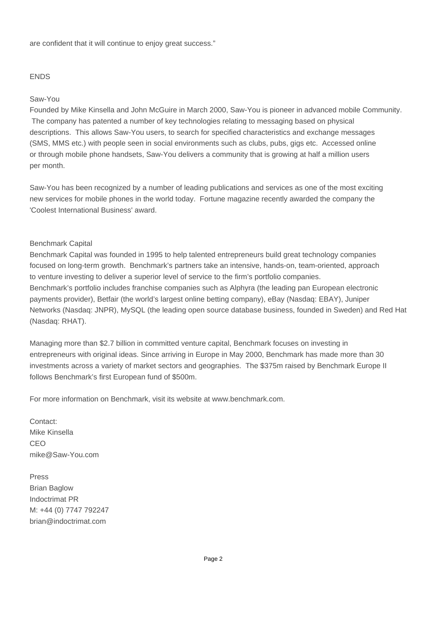are confident that it will continue to enjoy great success."

### ENDS

### Saw-You

Founded by Mike Kinsella and John McGuire in March 2000, Saw-You is pioneer in advanced mobile Community. The company has patented a number of key technologies relating to messaging based on physical descriptions. This allows Saw-You users, to search for specified characteristics and exchange messages (SMS, MMS etc.) with people seen in social environments such as clubs, pubs, gigs etc. Accessed online or through mobile phone handsets, Saw-You delivers a community that is growing at half a million users per month.

Saw-You has been recognized by a number of leading publications and services as one of the most exciting new services for mobile phones in the world today. Fortune magazine recently awarded the company the 'Coolest International Business' award.

#### Benchmark Capital

Benchmark Capital was founded in 1995 to help talented entrepreneurs build great technology companies focused on long-term growth. Benchmark's partners take an intensive, hands-on, team-oriented, approach to venture investing to deliver a superior level of service to the firm's portfolio companies. Benchmark's portfolio includes franchise companies such as Alphyra (the leading pan European electronic payments provider), Betfair (the world's largest online betting company), eBay (Nasdaq: EBAY), Juniper Networks (Nasdaq: JNPR), MySQL (the leading open source database business, founded in Sweden) and Red Hat (Nasdaq: RHAT).

Managing more than \$2.7 billion in committed venture capital, Benchmark focuses on investing in entrepreneurs with original ideas. Since arriving in Europe in May 2000, Benchmark has made more than 30 investments across a variety of market sectors and geographies. The \$375m raised by Benchmark Europe II follows Benchmark's first European fund of \$500m.

For more information on Benchmark, visit its website at www.benchmark.com.

Contact: Mike Kinsella CEO mike@Saw-You.com

Press Brian Baglow Indoctrimat PR M: +44 (0) 7747 792247 brian@indoctrimat.com